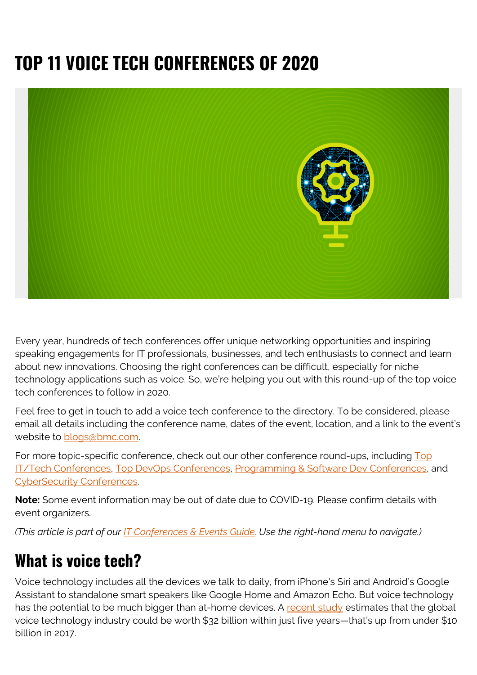# **TOP 11 VOICE TECH CONFERENCES OF 2020**



Every year, hundreds of tech conferences offer unique networking opportunities and inspiring speaking engagements for IT professionals, businesses, and tech enthusiasts to connect and learn about new innovations. Choosing the right conferences can be difficult, especially for niche technology applications such as voice. So, we're helping you out with this round-up of the top voice tech conferences to follow in 2020.

Feel free to get in touch to add a voice tech conference to the directory. To be considered, please email all details including the conference name, dates of the event, location, and a link to the event's website to [blogs@bmc.com.](mailto:blogs@bmc.com)

For more topic-specific conference, check out our other conference round-ups, including [Top](https://blogs.bmc.com/blogs/tech-it-conferences/) [IT/Tech Conferences](https://blogs.bmc.com/blogs/tech-it-conferences/), [Top DevOps Conferences,](https://blogs.bmc.com/blogs/devops-conferences/) [Programming & Software Dev Conferences,](https://blogs.bmc.com/blogs/software-development-programming-conferences/) and [CyberSecurity Conferences.](https://blogs.bmc.com/blogs/it-infosec-cyber-security-conferences/)

**Note:** Some event information may be out of date due to COVID-19. Please confirm details with event organizers.

*(This article is part of our [IT Conferences & Events Guide](https://blogs.bmc.com/blogs/tech-it-conferences/). Use the right-hand menu to navigate.)*

### **What is voice tech?**

Voice technology includes all the devices we talk to daily, from iPhone's Siri and Android's Google Assistant to standalone smart speakers like Google Home and Amazon Echo. But voice technology has the potential to be much bigger than at-home devices. A [recent study](https://www.grandviewresearch.com/industry-analysis/voice-recognition-market?utm_source=prnewswire.com&utm_medium=referral&utm_campaign=prn_june3_voicespeechrecognition_rd1&utm_content=content) estimates that the global voice technology industry could be worth \$32 billion within just five years—that's up from under \$10 billion in 2017.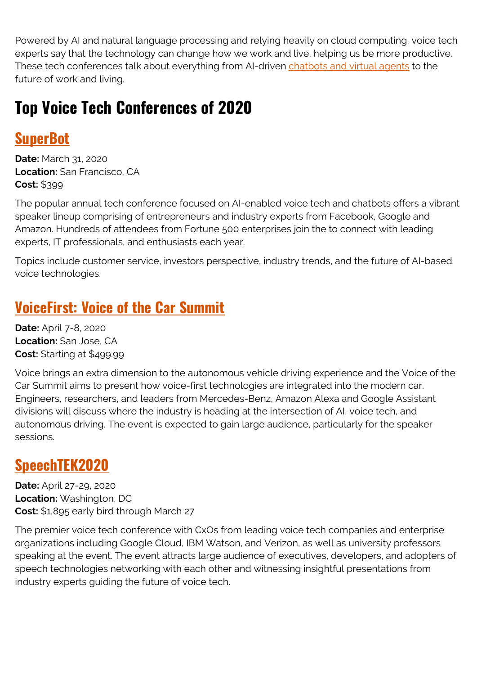Powered by AI and natural language processing and relying heavily on cloud computing, voice tech experts say that the technology can change how we work and live, helping us be more productive. These tech conferences talk about everything from AI-driven [chatbots and virtual agents](https://blogs.bmc.com/blogs/chatbot-vs-virtual-agent/) to the future of work and living.

## **Top Voice Tech Conferences of 2020**

#### **[SuperBot](https://www.dashbot.io/superbot/)**

**Date:** March 31, 2020 **Location:** San Francisco, CA **Cost:** \$399

The popular annual tech conference focused on AI-enabled voice tech and chatbots offers a vibrant speaker lineup comprising of entrepreneurs and industry experts from Facebook, Google and Amazon. Hundreds of attendees from Fortune 500 enterprises join the to connect with leading experts, IT professionals, and enthusiasts each year.

Topics include customer service, investors perspective, industry trends, and the future of AI-based voice technologies.

#### **[VoiceFirst: Voice of the Car Summit](https://www.voiceofthecar.com/)**

**Date:** April 7-8, 2020 **Location:** San Jose, CA **Cost:** Starting at \$499.99

Voice brings an extra dimension to the autonomous vehicle driving experience and the Voice of the Car Summit aims to present how voice-first technologies are integrated into the modern car. Engineers, researchers, and leaders from Mercedes-Benz, Amazon Alexa and Google Assistant divisions will discuss where the industry is heading at the intersection of AI, voice tech, and autonomous driving. The event is expected to gain large audience, particularly for the speaker sessions.

### **[SpeechTEK2020](https://www.speechtek.com/2020/default.aspx)**

**Date:** April 27-29, 2020 **Location:** Washington, DC **Cost:** \$1,895 early bird through March 27

The premier voice tech conference with CxOs from leading voice tech companies and enterprise organizations including Google Cloud, IBM Watson, and Verizon, as well as university professors speaking at the event. The event attracts large audience of executives, developers, and adopters of speech technologies networking with each other and witnessing insightful presentations from industry experts guiding the future of voice tech.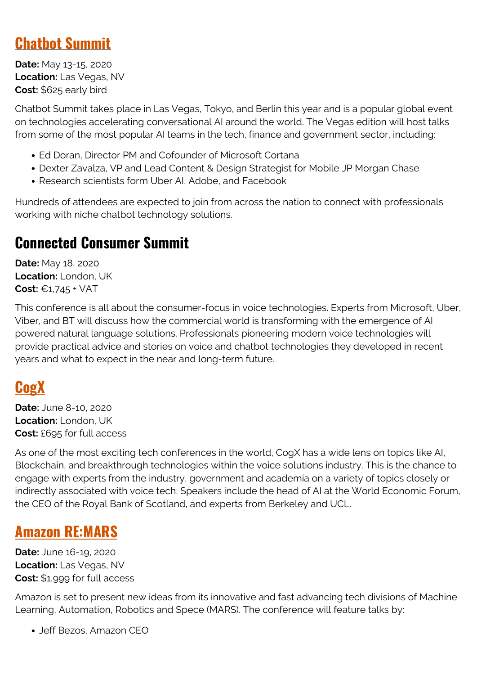#### **[Chatbot Summit](https://www.chatbotsummit.com/)**

**Date:** May 13-15, 2020 **Location:** Las Vegas, NV **Cost:** \$625 early bird

Chatbot Summit takes place in Las Vegas, Tokyo, and Berlin this year and is a popular global event on technologies accelerating conversational AI around the world. The Vegas edition will host talks from some of the most popular AI teams in the tech, finance and government sector, including:

- Ed Doran, Director PM and Cofounder of Microsoft Cortana
- Dexter Zavalza, VP and Lead Content & Design Strategist for Mobile JP Morgan Chase
- Research scientists form Uber AI, Adobe, and Facebook

Hundreds of attendees are expected to join from across the nation to connect with professionals working with niche chatbot technology solutions.

#### **Connected Consumer Summit**

**Date:** May 18, 2020 **Location:** London, UK **Cost:** €1,745 + VAT

This conference is all about the consumer-focus in voice technologies. Experts from Microsoft, Uber, Viber, and BT will discuss how the commercial world is transforming with the emergence of AI powered natural language solutions. Professionals pioneering modern voice technologies will provide practical advice and stories on voice and chatbot technologies they developed in recent years and what to expect in the near and long-term future.

#### **[CogX](https://cogx.co/)**

**Date:** June 8-10, 2020 **Location:** London, UK **Cost:** £695 for full access

As one of the most exciting tech conferences in the world, CogX has a wide lens on topics like AI, Blockchain, and breakthrough technologies within the voice solutions industry. This is the chance to engage with experts from the industry, government and academia on a variety of topics closely or indirectly associated with voice tech. Speakers include the head of AI at the World Economic Forum, the CEO of the Royal Bank of Scotland, and experts from Berkeley and UCL.

#### **[Amazon RE:MARS](https://remars.amazonevents.com/)**

**Date:** June 16-19, 2020 **Location:** Las Vegas, NV **Cost:** \$1,999 for full access

Amazon is set to present new ideas from its innovative and fast advancing tech divisions of Machine Learning, Automation, Robotics and Spece (MARS). The conference will feature talks by:

• Jeff Bezos, Amazon CEO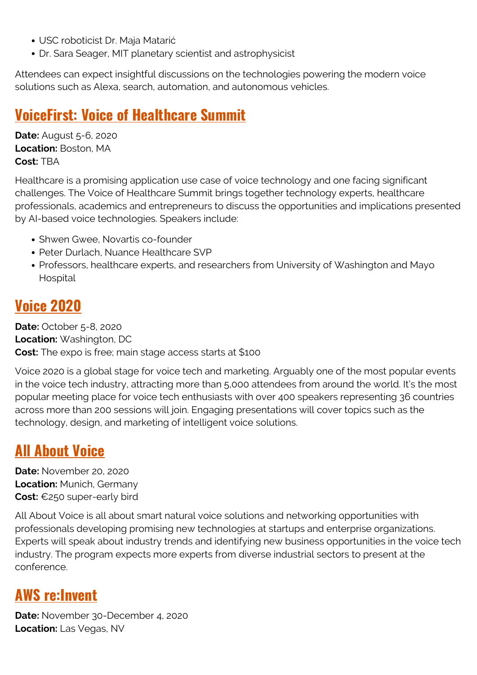- USC roboticist Dr. Maja Matarić
- Dr. Sara Seager, MIT planetary scientist and astrophysicist

Attendees can expect insightful discussions on the technologies powering the modern voice solutions such as Alexa, search, automation, and autonomous vehicles.

#### **[VoiceFirst: Voice of Healthcare Summit](https://www.vohsummit.com/)**

**Date:** August 5-6, 2020 **Location:** Boston, MA **Cost:** TBA

Healthcare is a promising application use case of voice technology and one facing significant challenges. The Voice of Healthcare Summit brings together technology experts, healthcare professionals, academics and entrepreneurs to discuss the opportunities and implications presented by AI-based voice technologies. Speakers include:

- Shwen Gwee, Novartis co-founder
- Peter Durlach, Nuance Healthcare SVP
- Professors, healthcare experts, and researchers from University of Washington and Mayo Hospital

#### **[Voice 2020](https://www.voicesummit.ai/)**

**Date:** October 5-8, 2020 **Location:** Washington, DC **Cost:** The expo is free; main stage access starts at \$100

Voice 2020 is a global stage for voice tech and marketing. Arguably one of the most popular events in the voice tech industry, attracting more than 5,000 attendees from around the world. It's the most popular meeting place for voice tech enthusiasts with over 400 speakers representing 36 countries across more than 200 sessions will join. Engaging presentations will cover topics such as the technology, design, and marketing of intelligent voice solutions.

#### **[All About Voice](https://www.allaboutvoice.io/)**

**Date:** November 20, 2020 **Location:** Munich, Germany **Cost:** €250 super-early bird

All About Voice is all about smart natural voice solutions and networking opportunities with professionals developing promising new technologies at startups and enterprise organizations. Experts will speak about industry trends and identifying new business opportunities in the voice tech industry. The program expects more experts from diverse industrial sectors to present at the conference.

#### **[AWS re:Invent](https://reinvent.awsevents.com/)**

**Date:** November 30-December 4, 2020 **Location:** Las Vegas, NV